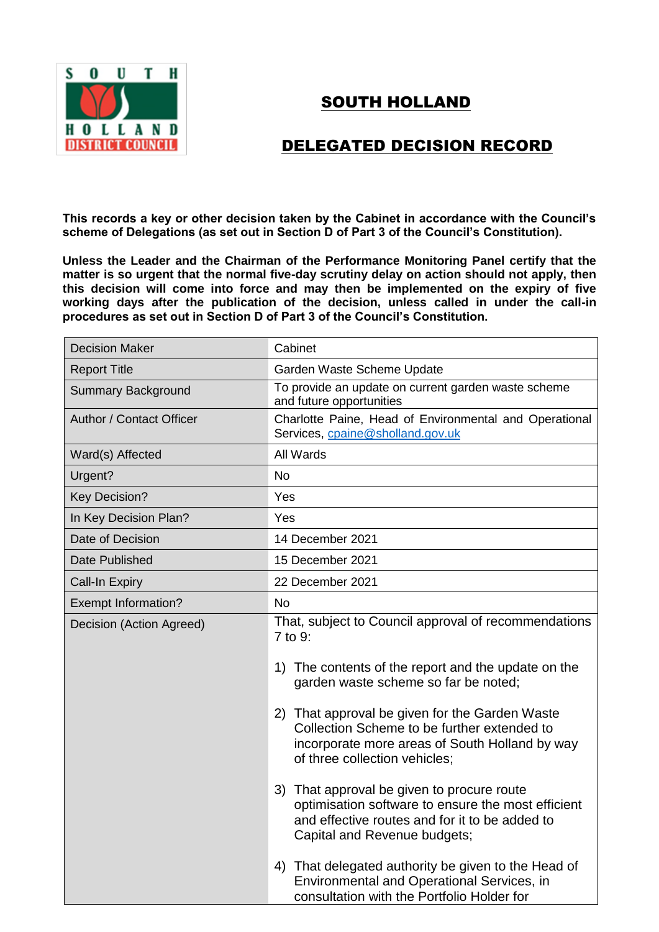

## SOUTH HOLLAND

## DELEGATED DECISION RECORD

**This records a key or other decision taken by the Cabinet in accordance with the Council's scheme of Delegations (as set out in Section D of Part 3 of the Council's Constitution).**

**Unless the Leader and the Chairman of the Performance Monitoring Panel certify that the matter is so urgent that the normal five-day scrutiny delay on action should not apply, then this decision will come into force and may then be implemented on the expiry of five working days after the publication of the decision, unless called in under the call-in procedures as set out in Section D of Part 3 of the Council's Constitution.**

| <b>Decision Maker</b>      | Cabinet                                                                                                                                                                            |
|----------------------------|------------------------------------------------------------------------------------------------------------------------------------------------------------------------------------|
| <b>Report Title</b>        | Garden Waste Scheme Update                                                                                                                                                         |
| <b>Summary Background</b>  | To provide an update on current garden waste scheme<br>and future opportunities                                                                                                    |
| Author / Contact Officer   | Charlotte Paine, Head of Environmental and Operational<br>Services, cpaine@sholland.gov.uk                                                                                         |
| Ward(s) Affected           | All Wards                                                                                                                                                                          |
| Urgent?                    | <b>No</b>                                                                                                                                                                          |
| <b>Key Decision?</b>       | Yes                                                                                                                                                                                |
| In Key Decision Plan?      | Yes                                                                                                                                                                                |
| Date of Decision           | 14 December 2021                                                                                                                                                                   |
| Date Published             | 15 December 2021                                                                                                                                                                   |
| <b>Call-In Expiry</b>      | 22 December 2021                                                                                                                                                                   |
| <b>Exempt Information?</b> | <b>No</b>                                                                                                                                                                          |
| Decision (Action Agreed)   | That, subject to Council approval of recommendations<br>7 to 9:                                                                                                                    |
|                            | 1) The contents of the report and the update on the<br>garden waste scheme so far be noted;                                                                                        |
|                            | 2) That approval be given for the Garden Waste<br>Collection Scheme to be further extended to<br>incorporate more areas of South Holland by way<br>of three collection vehicles;   |
|                            | 3) That approval be given to procure route<br>optimisation software to ensure the most efficient<br>and effective routes and for it to be added to<br>Capital and Revenue budgets; |
|                            | That delegated authority be given to the Head of<br>4)<br>Environmental and Operational Services, in<br>consultation with the Portfolio Holder for                                 |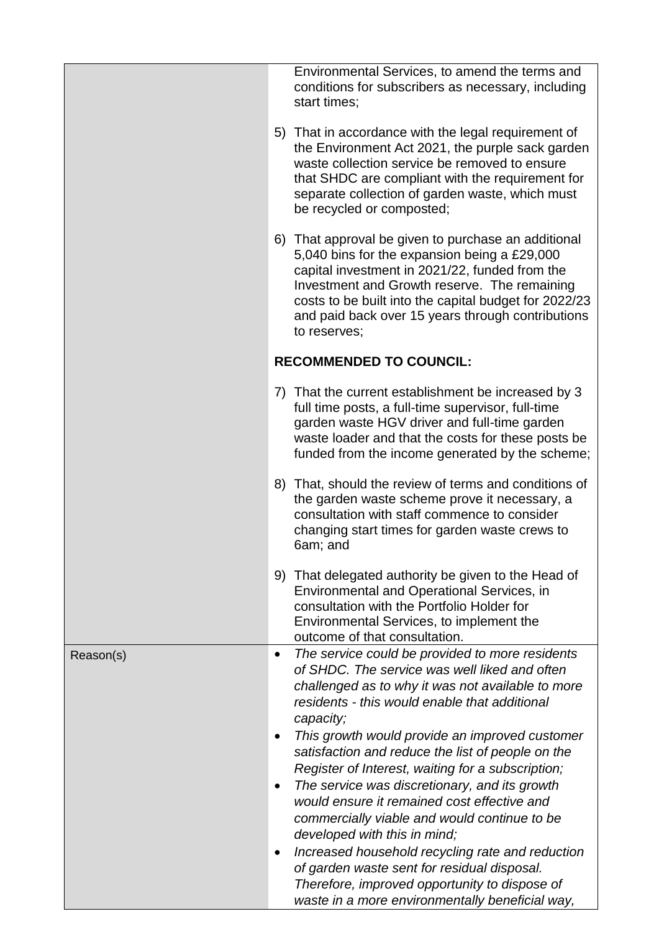|           | Environmental Services, to amend the terms and<br>conditions for subscribers as necessary, including<br>start times;                                                                                                                                                                                                                                                                                                                                                                         |
|-----------|----------------------------------------------------------------------------------------------------------------------------------------------------------------------------------------------------------------------------------------------------------------------------------------------------------------------------------------------------------------------------------------------------------------------------------------------------------------------------------------------|
|           | 5) That in accordance with the legal requirement of<br>the Environment Act 2021, the purple sack garden<br>waste collection service be removed to ensure<br>that SHDC are compliant with the requirement for<br>separate collection of garden waste, which must<br>be recycled or composted;                                                                                                                                                                                                 |
|           | 6) That approval be given to purchase an additional<br>5,040 bins for the expansion being a £29,000<br>capital investment in 2021/22, funded from the<br>Investment and Growth reserve. The remaining<br>costs to be built into the capital budget for 2022/23<br>and paid back over 15 years through contributions<br>to reserves:                                                                                                                                                          |
|           | <b>RECOMMENDED TO COUNCIL:</b>                                                                                                                                                                                                                                                                                                                                                                                                                                                               |
|           | 7) That the current establishment be increased by 3<br>full time posts, a full-time supervisor, full-time<br>garden waste HGV driver and full-time garden<br>waste loader and that the costs for these posts be<br>funded from the income generated by the scheme;                                                                                                                                                                                                                           |
|           | 8) That, should the review of terms and conditions of<br>the garden waste scheme prove it necessary, a<br>consultation with staff commence to consider<br>changing start times for garden waste crews to<br>6am; and                                                                                                                                                                                                                                                                         |
|           | 9) That delegated authority be given to the Head of<br>Environmental and Operational Services, in<br>consultation with the Portfolio Holder for<br>Environmental Services, to implement the<br>outcome of that consultation.                                                                                                                                                                                                                                                                 |
| Reason(s) | The service could be provided to more residents<br>$\bullet$<br>of SHDC. The service was well liked and often<br>challenged as to why it was not available to more<br>residents - this would enable that additional<br>capacity;                                                                                                                                                                                                                                                             |
|           | This growth would provide an improved customer<br>satisfaction and reduce the list of people on the<br>Register of Interest, waiting for a subscription;<br>The service was discretionary, and its growth<br>would ensure it remained cost effective and<br>commercially viable and would continue to be<br>developed with this in mind;<br>Increased household recycling rate and reduction<br>of garden waste sent for residual disposal.<br>Therefore, improved opportunity to dispose of |
|           | waste in a more environmentally beneficial way,                                                                                                                                                                                                                                                                                                                                                                                                                                              |